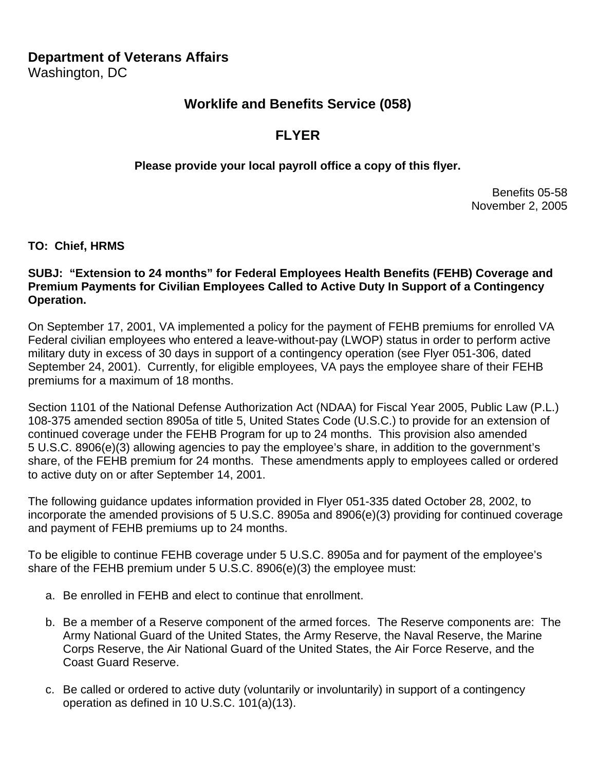## **Department of Veterans Affairs**

Washington, DC

## **Worklife and Benefits Service (058)**

# **FLYER**

### **Please provide your local payroll office a copy of this flyer.**

Benefits 05-58 November 2, 2005

#### **TO: Chief, HRMS**

#### **SUBJ: "Extension to 24 months" for Federal Employees Health Benefits (FEHB) Coverage and Premium Payments for Civilian Employees Called to Active Duty In Support of a Contingency Operation.**

On September 17, 2001, VA implemented a policy for the payment of FEHB premiums for enrolled VA Federal civilian employees who entered a leave-without-pay (LWOP) status in order to perform active military duty in excess of 30 days in support of a contingency operation (see Flyer 051-306, dated September 24, 2001). Currently, for eligible employees, VA pays the employee share of their FEHB premiums for a maximum of 18 months.

Section 1101 of the National Defense Authorization Act (NDAA) for Fiscal Year 2005, Public Law (P.L.) 108-375 amended section 8905a of title 5, United States Code (U.S.C.) to provide for an extension of continued coverage under the FEHB Program for up to 24 months. This provision also amended 5 U.S.C. 8906(e)(3) allowing agencies to pay the employee's share, in addition to the government's share, of the FEHB premium for 24 months. These amendments apply to employees called or ordered to active duty on or after September 14, 2001.

The following guidance updates information provided in Flyer 051-335 dated October 28, 2002, to incorporate the amended provisions of 5 U.S.C. 8905a and 8906(e)(3) providing for continued coverage and payment of FEHB premiums up to 24 months.

To be eligible to continue FEHB coverage under 5 U.S.C. 8905a and for payment of the employee's share of the FEHB premium under 5 U.S.C. 8906(e)(3) the employee must:

- a. Be enrolled in FEHB and elect to continue that enrollment.
- b. Be a member of a Reserve component of the armed forces. The Reserve components are: The Army National Guard of the United States, the Army Reserve, the Naval Reserve, the Marine Corps Reserve, the Air National Guard of the United States, the Air Force Reserve, and the Coast Guard Reserve.
- c. Be called or ordered to active duty (voluntarily or involuntarily) in support of a contingency operation as defined in 10 U.S.C. 101(a)(13).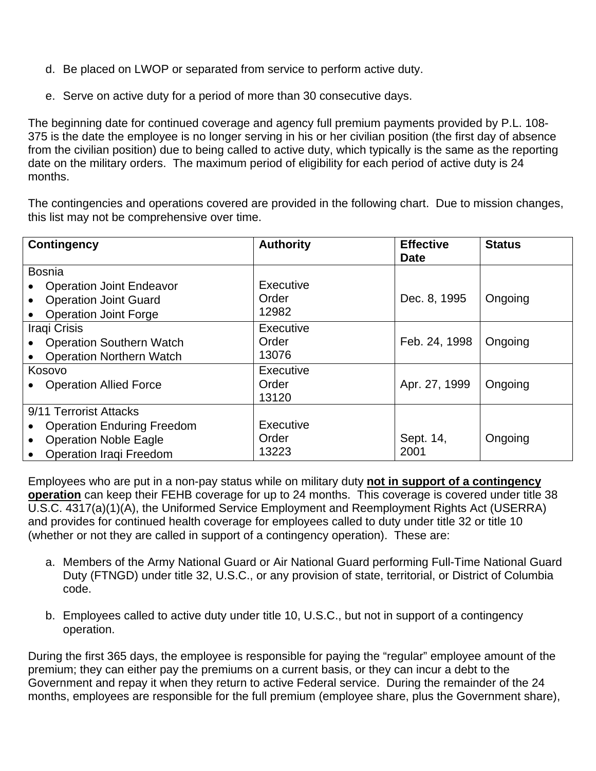- d. Be placed on LWOP or separated from service to perform active duty.
- e. Serve on active duty for a period of more than 30 consecutive days.

The beginning date for continued coverage and agency full premium payments provided by P.L. 108- 375 is the date the employee is no longer serving in his or her civilian position (the first day of absence from the civilian position) due to being called to active duty, which typically is the same as the reporting date on the military orders. The maximum period of eligibility for each period of active duty is 24 months.

The contingencies and operations covered are provided in the following chart. Due to mission changes, this list may not be comprehensive over time.

| <b>Contingency</b>                        | <b>Authority</b> | <b>Effective</b><br><b>Date</b> | <b>Status</b> |
|-------------------------------------------|------------------|---------------------------------|---------------|
| <b>Bosnia</b>                             |                  |                                 |               |
| <b>Operation Joint Endeavor</b>           | Executive        |                                 |               |
| <b>Operation Joint Guard</b>              | Order            | Dec. 8, 1995                    | Ongoing       |
| <b>Operation Joint Forge</b>              | 12982            |                                 |               |
| Iraqi Crisis                              | Executive        |                                 |               |
| <b>Operation Southern Watch</b>           | Order            | Feb. 24, 1998                   | Ongoing       |
| <b>Operation Northern Watch</b>           | 13076            |                                 |               |
| Kosovo                                    | Executive        |                                 |               |
| <b>Operation Allied Force</b>             | Order            | Apr. 27, 1999                   | Ongoing       |
|                                           | 13120            |                                 |               |
| 9/11 Terrorist Attacks                    |                  |                                 |               |
| <b>Operation Enduring Freedom</b>         | Executive        |                                 |               |
| <b>Operation Noble Eagle</b><br>$\bullet$ | Order            | Sept. 14,                       | Ongoing       |
| <b>Operation Iraqi Freedom</b>            | 13223            | 2001                            |               |

Employees who are put in a non-pay status while on military duty **not in support of a contingency operation** can keep their FEHB coverage for up to 24 months. This coverage is covered under title 38 U.S.C. 4317(a)(1)(A), the Uniformed Service Employment and Reemployment Rights Act (USERRA) and provides for continued health coverage for employees called to duty under title 32 or title 10 (whether or not they are called in support of a contingency operation). These are:

- a. Members of the Army National Guard or Air National Guard performing Full-Time National Guard Duty (FTNGD) under title 32, U.S.C., or any provision of state, territorial, or District of Columbia code.
- b. Employees called to active duty under title 10, U.S.C., but not in support of a contingency operation.

During the first 365 days, the employee is responsible for paying the "regular" employee amount of the premium; they can either pay the premiums on a current basis, or they can incur a debt to the Government and repay it when they return to active Federal service. During the remainder of the 24 months, employees are responsible for the full premium (employee share, plus the Government share),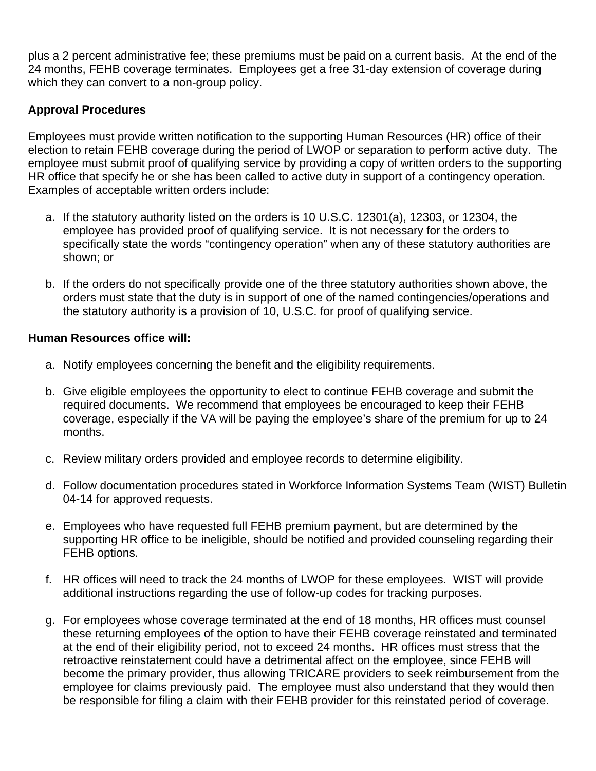plus a 2 percent administrative fee; these premiums must be paid on a current basis. At the end of the 24 months, FEHB coverage terminates. Employees get a free 31-day extension of coverage during which they can convert to a non-group policy.

## **Approval Procedures**

Employees must provide written notification to the supporting Human Resources (HR) office of their election to retain FEHB coverage during the period of LWOP or separation to perform active duty. The employee must submit proof of qualifying service by providing a copy of written orders to the supporting HR office that specify he or she has been called to active duty in support of a contingency operation. Examples of acceptable written orders include:

- a. If the statutory authority listed on the orders is 10 U.S.C. 12301(a), 12303, or 12304, the employee has provided proof of qualifying service. It is not necessary for the orders to specifically state the words "contingency operation" when any of these statutory authorities are shown; or
- b. If the orders do not specifically provide one of the three statutory authorities shown above, the orders must state that the duty is in support of one of the named contingencies/operations and the statutory authority is a provision of 10, U.S.C. for proof of qualifying service.

### **Human Resources office will:**

- a. Notify employees concerning the benefit and the eligibility requirements.
- b. Give eligible employees the opportunity to elect to continue FEHB coverage and submit the required documents. We recommend that employees be encouraged to keep their FEHB coverage, especially if the VA will be paying the employee's share of the premium for up to 24 months.
- c. Review military orders provided and employee records to determine eligibility.
- d. Follow documentation procedures stated in Workforce Information Systems Team (WIST) Bulletin 04-14 for approved requests.
- e. Employees who have requested full FEHB premium payment, but are determined by the supporting HR office to be ineligible, should be notified and provided counseling regarding their FEHB options.
- f. HR offices will need to track the 24 months of LWOP for these employees. WIST will provide additional instructions regarding the use of follow-up codes for tracking purposes.
- g. For employees whose coverage terminated at the end of 18 months, HR offices must counsel these returning employees of the option to have their FEHB coverage reinstated and terminated at the end of their eligibility period, not to exceed 24 months. HR offices must stress that the retroactive reinstatement could have a detrimental affect on the employee, since FEHB will become the primary provider, thus allowing TRICARE providers to seek reimbursement from the employee for claims previously paid. The employee must also understand that they would then be responsible for filing a claim with their FEHB provider for this reinstated period of coverage.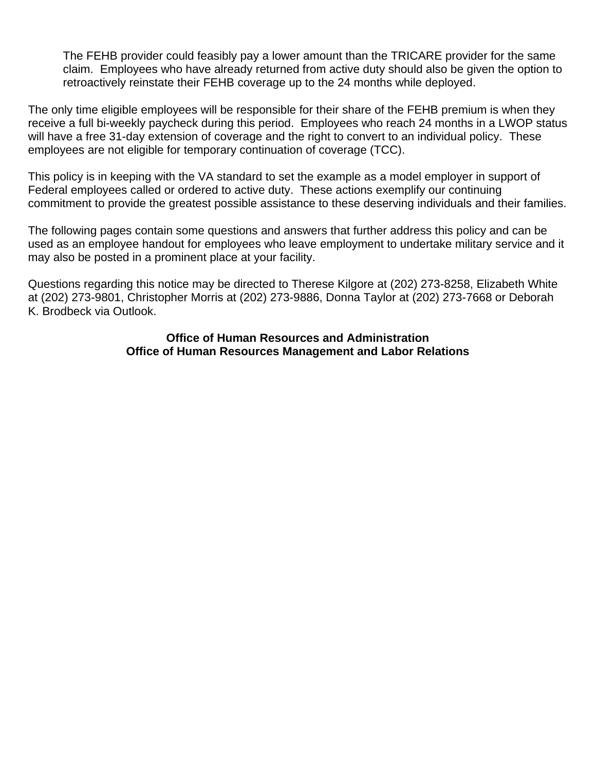The FEHB provider could feasibly pay a lower amount than the TRICARE provider for the same claim. Employees who have already returned from active duty should also be given the option to retroactively reinstate their FEHB coverage up to the 24 months while deployed.

The only time eligible employees will be responsible for their share of the FEHB premium is when they receive a full bi-weekly paycheck during this period. Employees who reach 24 months in a LWOP status will have a free 31-day extension of coverage and the right to convert to an individual policy. These employees are not eligible for temporary continuation of coverage (TCC).

This policy is in keeping with the VA standard to set the example as a model employer in support of Federal employees called or ordered to active duty. These actions exemplify our continuing commitment to provide the greatest possible assistance to these deserving individuals and their families.

The following pages contain some questions and answers that further address this policy and can be used as an employee handout for employees who leave employment to undertake military service and it may also be posted in a prominent place at your facility.

Questions regarding this notice may be directed to Therese Kilgore at (202) 273-8258, Elizabeth White at (202) 273-9801, Christopher Morris at (202) 273-9886, Donna Taylor at (202) 273-7668 or Deborah K. Brodbeck via Outlook.

#### **Office of Human Resources and Administration Office of Human Resources Management and Labor Relations**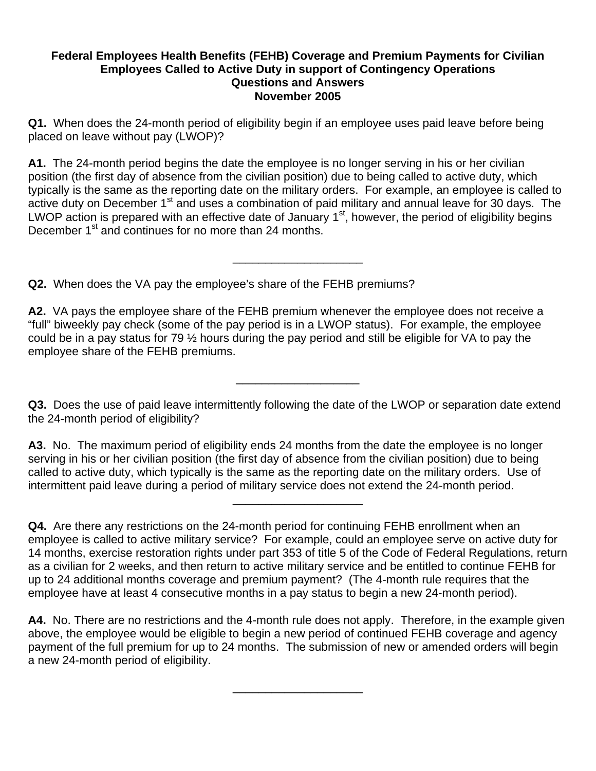#### **Federal Employees Health Benefits (FEHB) Coverage and Premium Payments for Civilian Employees Called to Active Duty in support of Contingency Operations Questions and Answers November 2005**

**Q1.** When does the 24-month period of eligibility begin if an employee uses paid leave before being placed on leave without pay (LWOP)?

**A1.** The 24-month period begins the date the employee is no longer serving in his or her civilian position (the first day of absence from the civilian position) due to being called to active duty, which typically is the same as the reporting date on the military orders. For example, an employee is called to active duty on December 1<sup>st</sup> and uses a combination of paid military and annual leave for 30 days. The LWOP action is prepared with an effective date of January 1<sup>st</sup>, however, the period of eligibility begins December 1<sup>st</sup> and continues for no more than 24 months.

\_\_\_\_\_\_\_\_\_\_\_\_\_\_\_\_\_\_\_\_

**Q2.** When does the VA pay the employee's share of the FEHB premiums?

**A2.** VA pays the employee share of the FEHB premium whenever the employee does not receive a "full" biweekly pay check (some of the pay period is in a LWOP status). For example, the employee could be in a pay status for 79 ½ hours during the pay period and still be eligible for VA to pay the employee share of the FEHB premiums.

**Q3.** Does the use of paid leave intermittently following the date of the LWOP or separation date extend the 24-month period of eligibility?

\_\_\_\_\_\_\_\_\_\_\_\_\_\_\_\_\_\_\_

**A3.** No. The maximum period of eligibility ends 24 months from the date the employee is no longer serving in his or her civilian position (the first day of absence from the civilian position) due to being called to active duty, which typically is the same as the reporting date on the military orders. Use of intermittent paid leave during a period of military service does not extend the 24-month period.

\_\_\_\_\_\_\_\_\_\_\_\_\_\_\_\_\_\_\_\_

\_\_\_\_\_\_\_\_\_\_\_\_\_\_\_\_\_\_\_\_

**Q4.** Are there any restrictions on the 24-month period for continuing FEHB enrollment when an employee is called to active military service? For example, could an employee serve on active duty for 14 months, exercise restoration rights under part 353 of title 5 of the Code of Federal Regulations, return as a civilian for 2 weeks, and then return to active military service and be entitled to continue FEHB for up to 24 additional months coverage and premium payment? (The 4-month rule requires that the employee have at least 4 consecutive months in a pay status to begin a new 24-month period).

**A4.** No. There are no restrictions and the 4-month rule does not apply. Therefore, in the example given above, the employee would be eligible to begin a new period of continued FEHB coverage and agency payment of the full premium for up to 24 months. The submission of new or amended orders will begin a new 24-month period of eligibility.